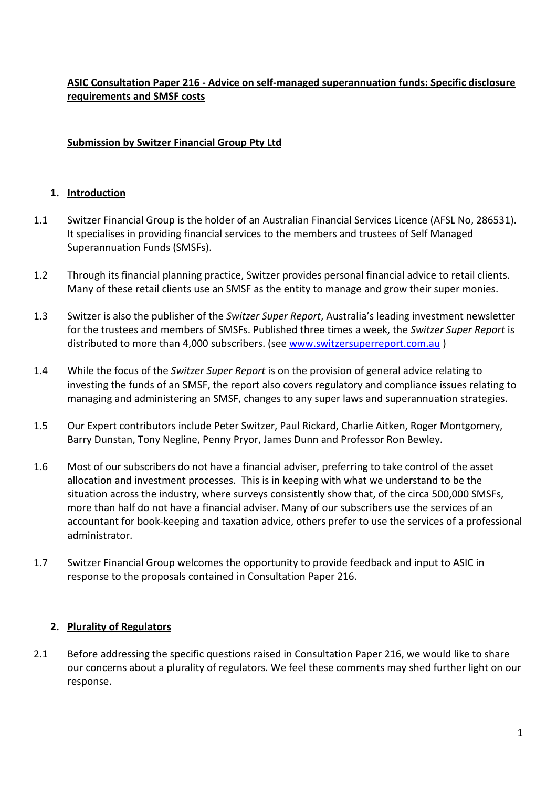# **ASIC Consultation Paper 216 - Advice on self-managed superannuation funds: Specific disclosure requirements and SMSF costs**

### **Submission by Switzer Financial Group Pty Ltd**

### **1. Introduction**

- 1.1 Switzer Financial Group is the holder of an Australian Financial Services Licence (AFSL No, 286531). It specialises in providing financial services to the members and trustees of Self Managed Superannuation Funds (SMSFs).
- 1.2 Through its financial planning practice, Switzer provides personal financial advice to retail clients. Many of these retail clients use an SMSF as the entity to manage and grow their super monies.
- 1.3 Switzer is also the publisher of the *Switzer Super Report*, Australia's leading investment newsletter for the trustees and members of SMSFs. Published three times a week, the *Switzer Super Report* is distributed to more than 4,000 subscribers. (see [www.switzersuperreport.com.au](http://www.switzersuperreport.com.au/) )
- 1.4 While the focus of the *Switzer Super Report* is on the provision of general advice relating to investing the funds of an SMSF, the report also covers regulatory and compliance issues relating to managing and administering an SMSF, changes to any super laws and superannuation strategies.
- 1.5 Our Expert contributors include Peter Switzer, Paul Rickard, Charlie Aitken, Roger Montgomery, Barry Dunstan, Tony Negline, Penny Pryor, James Dunn and Professor Ron Bewley.
- 1.6 Most of our subscribers do not have a financial adviser, preferring to take control of the asset allocation and investment processes. This is in keeping with what we understand to be the situation across the industry, where surveys consistently show that, of the circa 500,000 SMSFs, more than half do not have a financial adviser. Many of our subscribers use the services of an accountant for book-keeping and taxation advice, others prefer to use the services of a professional administrator.
- 1.7 Switzer Financial Group welcomes the opportunity to provide feedback and input to ASIC in response to the proposals contained in Consultation Paper 216.

#### **2. Plurality of Regulators**

2.1 Before addressing the specific questions raised in Consultation Paper 216, we would like to share our concerns about a plurality of regulators. We feel these comments may shed further light on our response.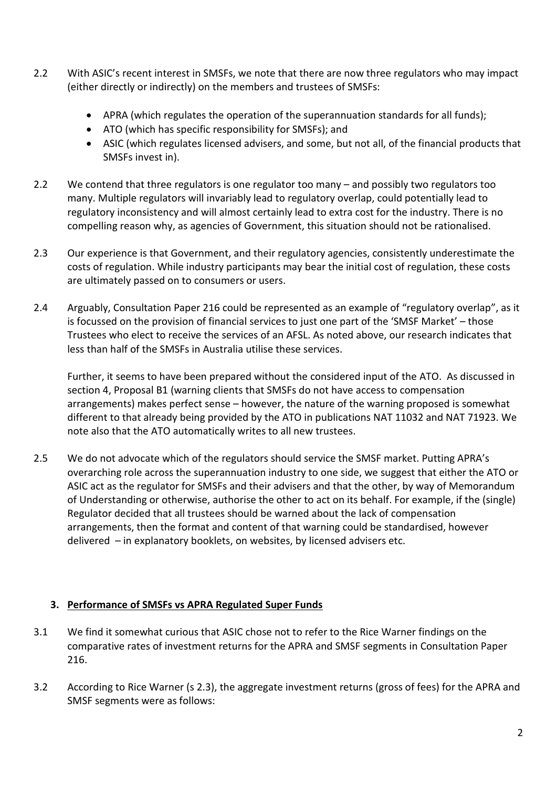- 2.2 With ASIC's recent interest in SMSFs, we note that there are now three regulators who may impact (either directly or indirectly) on the members and trustees of SMSFs:
	- APRA (which regulates the operation of the superannuation standards for all funds);
	- ATO (which has specific responsibility for SMSFs); and
	- ASIC (which regulates licensed advisers, and some, but not all, of the financial products that SMSFs invest in).
- 2.2 We contend that three regulators is one regulator too many and possibly two regulators too many. Multiple regulators will invariably lead to regulatory overlap, could potentially lead to regulatory inconsistency and will almost certainly lead to extra cost for the industry. There is no compelling reason why, as agencies of Government, this situation should not be rationalised.
- 2.3 Our experience is that Government, and their regulatory agencies, consistently underestimate the costs of regulation. While industry participants may bear the initial cost of regulation, these costs are ultimately passed on to consumers or users.
- 2.4 Arguably, Consultation Paper 216 could be represented as an example of "regulatory overlap", as it is focussed on the provision of financial services to just one part of the 'SMSF Market' – those Trustees who elect to receive the services of an AFSL. As noted above, our research indicates that less than half of the SMSFs in Australia utilise these services.

Further, it seems to have been prepared without the considered input of the ATO. As discussed in section 4, Proposal B1 (warning clients that SMSFs do not have access to compensation arrangements) makes perfect sense – however, the nature of the warning proposed is somewhat different to that already being provided by the ATO in publications NAT 11032 and NAT 71923. We note also that the ATO automatically writes to all new trustees.

2.5 We do not advocate which of the regulators should service the SMSF market. Putting APRA's overarching role across the superannuation industry to one side, we suggest that either the ATO or ASIC act as the regulator for SMSFs and their advisers and that the other, by way of Memorandum of Understanding or otherwise, authorise the other to act on its behalf. For example, if the (single) Regulator decided that all trustees should be warned about the lack of compensation arrangements, then the format and content of that warning could be standardised, however delivered – in explanatory booklets, on websites, by licensed advisers etc.

# **3. Performance of SMSFs vs APRA Regulated Super Funds**

- 3.1 We find it somewhat curious that ASIC chose not to refer to the Rice Warner findings on the comparative rates of investment returns for the APRA and SMSF segments in Consultation Paper 216.
- 3.2 According to Rice Warner (s 2.3), the aggregate investment returns (gross of fees) for the APRA and SMSF segments were as follows: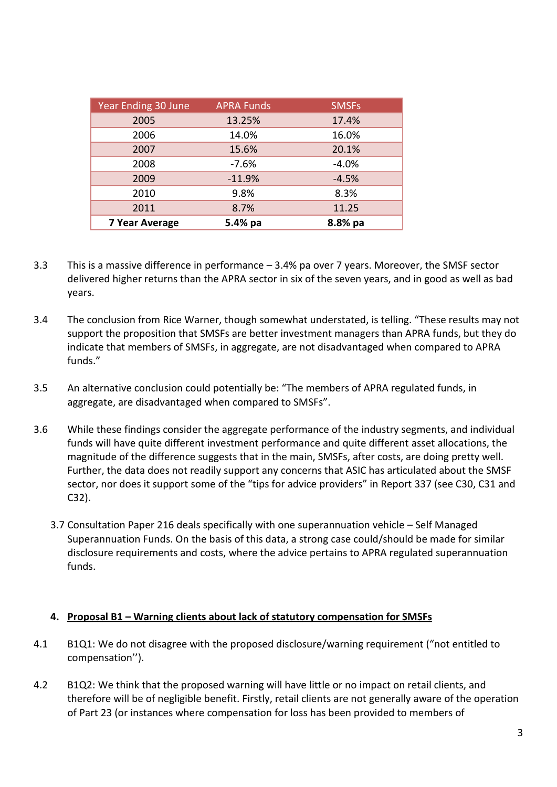| Year Ending 30 June   | <b>APRA Funds</b> | <b>SMSFs</b> |
|-----------------------|-------------------|--------------|
| 2005                  | 13.25%            | 17.4%        |
| 2006                  | 14.0%             | 16.0%        |
| 2007                  | 15.6%             | 20.1%        |
| 2008                  | $-7.6%$           | $-4.0%$      |
| 2009                  | $-11.9%$          | $-4.5%$      |
| 2010                  | 9.8%              | 8.3%         |
| 2011                  | 8.7%              | 11.25        |
| <b>7 Year Average</b> | 5.4% pa           | 8.8% pa      |

- 3.3 This is a massive difference in performance 3.4% pa over 7 years. Moreover, the SMSF sector delivered higher returns than the APRA sector in six of the seven years, and in good as well as bad years.
- 3.4 The conclusion from Rice Warner, though somewhat understated, is telling. "These results may not support the proposition that SMSFs are better investment managers than APRA funds, but they do indicate that members of SMSFs, in aggregate, are not disadvantaged when compared to APRA funds."
- 3.5 An alternative conclusion could potentially be: "The members of APRA regulated funds, in aggregate, are disadvantaged when compared to SMSFs".
- 3.6 While these findings consider the aggregate performance of the industry segments, and individual funds will have quite different investment performance and quite different asset allocations, the magnitude of the difference suggests that in the main, SMSFs, after costs, are doing pretty well. Further, the data does not readily support any concerns that ASIC has articulated about the SMSF sector, nor does it support some of the "tips for advice providers" in Report 337 (see C30, C31 and C32).
	- 3.7 Consultation Paper 216 deals specifically with one superannuation vehicle Self Managed Superannuation Funds. On the basis of this data, a strong case could/should be made for similar disclosure requirements and costs, where the advice pertains to APRA regulated superannuation funds.

### **4. Proposal B1 – Warning clients about lack of statutory compensation for SMSFs**

- 4.1 B1Q1: We do not disagree with the proposed disclosure/warning requirement ("not entitled to compensation'').
- 4.2 B1Q2: We think that the proposed warning will have little or no impact on retail clients, and therefore will be of negligible benefit. Firstly, retail clients are not generally aware of the operation of Part 23 (or instances where compensation for loss has been provided to members of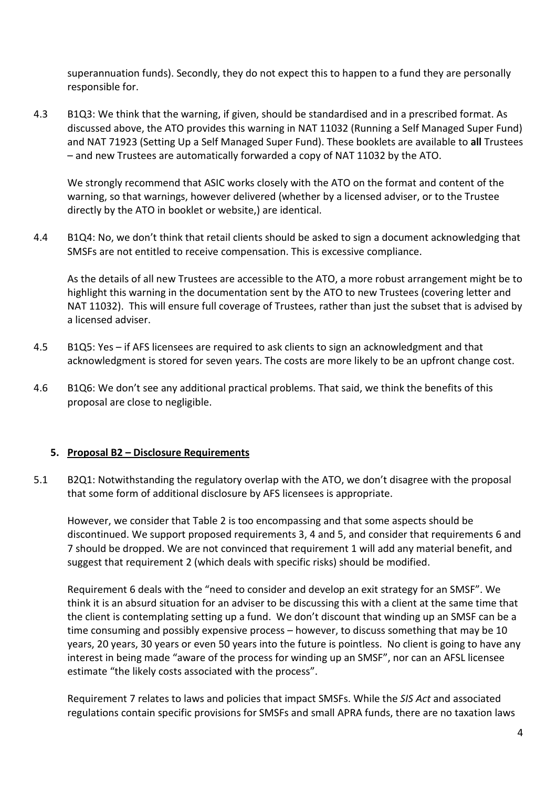superannuation funds). Secondly, they do not expect this to happen to a fund they are personally responsible for.

4.3 B1Q3: We think that the warning, if given, should be standardised and in a prescribed format. As discussed above, the ATO provides this warning in NAT 11032 (Running a Self Managed Super Fund) and NAT 71923 (Setting Up a Self Managed Super Fund). These booklets are available to **all** Trustees – and new Trustees are automatically forwarded a copy of NAT 11032 by the ATO.

We strongly recommend that ASIC works closely with the ATO on the format and content of the warning, so that warnings, however delivered (whether by a licensed adviser, or to the Trustee directly by the ATO in booklet or website,) are identical.

4.4 B1Q4: No, we don't think that retail clients should be asked to sign a document acknowledging that SMSFs are not entitled to receive compensation. This is excessive compliance.

As the details of all new Trustees are accessible to the ATO, a more robust arrangement might be to highlight this warning in the documentation sent by the ATO to new Trustees (covering letter and NAT 11032). This will ensure full coverage of Trustees, rather than just the subset that is advised by a licensed adviser.

- 4.5 B1Q5: Yes if AFS licensees are required to ask clients to sign an acknowledgment and that acknowledgment is stored for seven years. The costs are more likely to be an upfront change cost.
- 4.6 B1Q6: We don't see any additional practical problems. That said, we think the benefits of this proposal are close to negligible.

### **5. Proposal B2 – Disclosure Requirements**

5.1 B2Q1: Notwithstanding the regulatory overlap with the ATO, we don't disagree with the proposal that some form of additional disclosure by AFS licensees is appropriate.

However, we consider that Table 2 is too encompassing and that some aspects should be discontinued. We support proposed requirements 3, 4 and 5, and consider that requirements 6 and 7 should be dropped. We are not convinced that requirement 1 will add any material benefit, and suggest that requirement 2 (which deals with specific risks) should be modified.

Requirement 6 deals with the "need to consider and develop an exit strategy for an SMSF". We think it is an absurd situation for an adviser to be discussing this with a client at the same time that the client is contemplating setting up a fund. We don't discount that winding up an SMSF can be a time consuming and possibly expensive process – however, to discuss something that may be 10 years, 20 years, 30 years or even 50 years into the future is pointless. No client is going to have any interest in being made "aware of the process for winding up an SMSF", nor can an AFSL licensee estimate "the likely costs associated with the process".

Requirement 7 relates to laws and policies that impact SMSFs. While the *SIS Act* and associated regulations contain specific provisions for SMSFs and small APRA funds, there are no taxation laws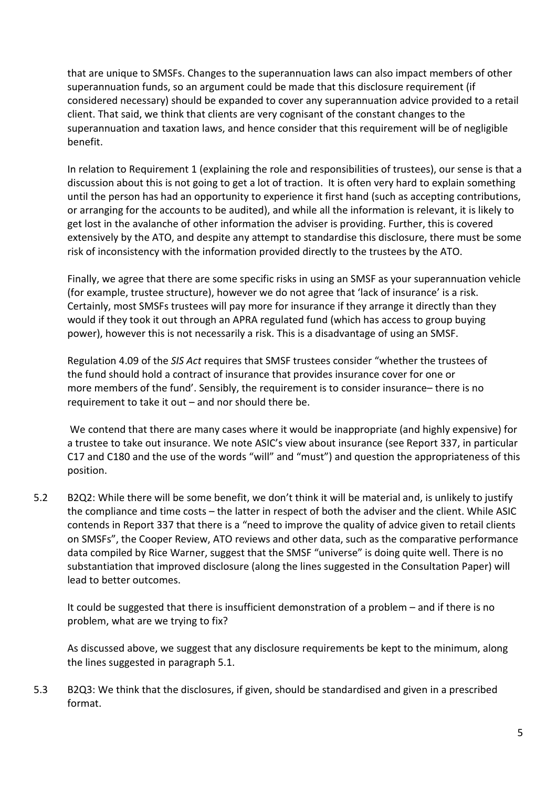that are unique to SMSFs. Changes to the superannuation laws can also impact members of other superannuation funds, so an argument could be made that this disclosure requirement (if considered necessary) should be expanded to cover any superannuation advice provided to a retail client. That said, we think that clients are very cognisant of the constant changes to the superannuation and taxation laws, and hence consider that this requirement will be of negligible benefit.

In relation to Requirement 1 (explaining the role and responsibilities of trustees), our sense is that a discussion about this is not going to get a lot of traction. It is often very hard to explain something until the person has had an opportunity to experience it first hand (such as accepting contributions, or arranging for the accounts to be audited), and while all the information is relevant, it is likely to get lost in the avalanche of other information the adviser is providing. Further, this is covered extensively by the ATO, and despite any attempt to standardise this disclosure, there must be some risk of inconsistency with the information provided directly to the trustees by the ATO.

Finally, we agree that there are some specific risks in using an SMSF as your superannuation vehicle (for example, trustee structure), however we do not agree that 'lack of insurance' is a risk. Certainly, most SMSFs trustees will pay more for insurance if they arrange it directly than they would if they took it out through an APRA regulated fund (which has access to group buying power), however this is not necessarily a risk. This is a disadvantage of using an SMSF.

Regulation 4.09 of the *SIS Act* requires that SMSF trustees consider "whether the [trustees](http://www.austlii.edu.au/au/legis/cth/consol_reg/sir1994582/s6.47.html%23trustee) of the [fund](http://www.austlii.edu.au/au/legis/cth/consol_reg/sir1994582/s1.03.html%23fund) should hold a contract of insurance that provides insurance cover for one or more [members](http://www.austlii.edu.au/au/legis/cth/consol_reg/sir1994582/s1.03.html%23member) of the [fund'](http://www.austlii.edu.au/au/legis/cth/consol_reg/sir1994582/s1.03.html%23fund). Sensibly, the requirement is to consider insurance– there is no requirement to take it out – and nor should there be.

We contend that there are many cases where it would be inappropriate (and highly expensive) for a trustee to take out insurance. We note ASIC's view about insurance (see Report 337, in particular C17 and C180 and the use of the words "will" and "must") and question the appropriateness of this position.

5.2 B2Q2: While there will be some benefit, we don't think it will be material and, is unlikely to justify the compliance and time costs – the latter in respect of both the adviser and the client. While ASIC contends in Report 337 that there is a "need to improve the quality of advice given to retail clients on SMSFs", the Cooper Review, ATO reviews and other data, such as the comparative performance data compiled by Rice Warner, suggest that the SMSF "universe" is doing quite well. There is no substantiation that improved disclosure (along the lines suggested in the Consultation Paper) will lead to better outcomes.

It could be suggested that there is insufficient demonstration of a problem – and if there is no problem, what are we trying to fix?

As discussed above, we suggest that any disclosure requirements be kept to the minimum, along the lines suggested in paragraph 5.1.

5.3 B2Q3: We think that the disclosures, if given, should be standardised and given in a prescribed format.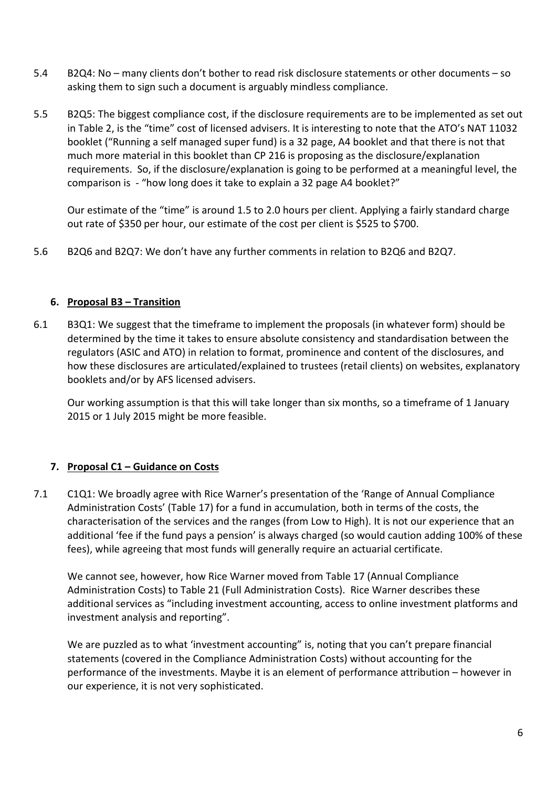- 5.4 B2Q4: No many clients don't bother to read risk disclosure statements or other documents so asking them to sign such a document is arguably mindless compliance.
- 5.5 B2Q5: The biggest compliance cost, if the disclosure requirements are to be implemented as set out in Table 2, is the "time" cost of licensed advisers. It is interesting to note that the ATO's NAT 11032 booklet ("Running a self managed super fund) is a 32 page, A4 booklet and that there is not that much more material in this booklet than CP 216 is proposing as the disclosure/explanation requirements. So, if the disclosure/explanation is going to be performed at a meaningful level, the comparison is - "how long does it take to explain a 32 page A4 booklet?"

Our estimate of the "time" is around 1.5 to 2.0 hours per client. Applying a fairly standard charge out rate of \$350 per hour, our estimate of the cost per client is \$525 to \$700.

5.6 B2Q6 and B2Q7: We don't have any further comments in relation to B2Q6 and B2Q7.

### **6. Proposal B3 – Transition**

6.1 B3Q1: We suggest that the timeframe to implement the proposals (in whatever form) should be determined by the time it takes to ensure absolute consistency and standardisation between the regulators (ASIC and ATO) in relation to format, prominence and content of the disclosures, and how these disclosures are articulated/explained to trustees (retail clients) on websites, explanatory booklets and/or by AFS licensed advisers.

Our working assumption is that this will take longer than six months, so a timeframe of 1 January 2015 or 1 July 2015 might be more feasible.

# **7. Proposal C1 – Guidance on Costs**

7.1 C1Q1: We broadly agree with Rice Warner's presentation of the 'Range of Annual Compliance Administration Costs' (Table 17) for a fund in accumulation, both in terms of the costs, the characterisation of the services and the ranges (from Low to High). It is not our experience that an additional 'fee if the fund pays a pension' is always charged (so would caution adding 100% of these fees), while agreeing that most funds will generally require an actuarial certificate.

We cannot see, however, how Rice Warner moved from Table 17 (Annual Compliance Administration Costs) to Table 21 (Full Administration Costs). Rice Warner describes these additional services as "including investment accounting, access to online investment platforms and investment analysis and reporting".

We are puzzled as to what 'investment accounting" is, noting that you can't prepare financial statements (covered in the Compliance Administration Costs) without accounting for the performance of the investments. Maybe it is an element of performance attribution – however in our experience, it is not very sophisticated.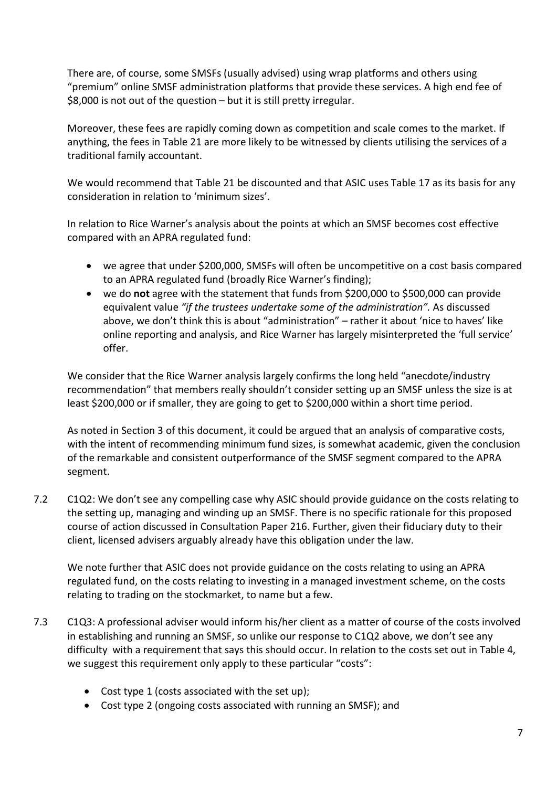There are, of course, some SMSFs (usually advised) using wrap platforms and others using "premium" online SMSF administration platforms that provide these services. A high end fee of \$8,000 is not out of the question – but it is still pretty irregular.

Moreover, these fees are rapidly coming down as competition and scale comes to the market. If anything, the fees in Table 21 are more likely to be witnessed by clients utilising the services of a traditional family accountant.

We would recommend that Table 21 be discounted and that ASIC uses Table 17 as its basis for any consideration in relation to 'minimum sizes'.

In relation to Rice Warner's analysis about the points at which an SMSF becomes cost effective compared with an APRA regulated fund:

- we agree that under \$200,000, SMSFs will often be uncompetitive on a cost basis compared to an APRA regulated fund (broadly Rice Warner's finding);
- we do **not** agree with the statement that funds from \$200,000 to \$500,000 can provide equivalent value *"if the trustees undertake some of the administration".* As discussed above, we don't think this is about "administration" – rather it about 'nice to haves' like online reporting and analysis, and Rice Warner has largely misinterpreted the 'full service' offer.

We consider that the Rice Warner analysis largely confirms the long held "anecdote/industry recommendation" that members really shouldn't consider setting up an SMSF unless the size is at least \$200,000 or if smaller, they are going to get to \$200,000 within a short time period.

As noted in Section 3 of this document, it could be argued that an analysis of comparative costs, with the intent of recommending minimum fund sizes, is somewhat academic, given the conclusion of the remarkable and consistent outperformance of the SMSF segment compared to the APRA segment.

7.2 C1Q2: We don't see any compelling case why ASIC should provide guidance on the costs relating to the setting up, managing and winding up an SMSF. There is no specific rationale for this proposed course of action discussed in Consultation Paper 216. Further, given their fiduciary duty to their client, licensed advisers arguably already have this obligation under the law.

We note further that ASIC does not provide guidance on the costs relating to using an APRA regulated fund, on the costs relating to investing in a managed investment scheme, on the costs relating to trading on the stockmarket, to name but a few.

- 7.3 C1Q3: A professional adviser would inform his/her client as a matter of course of the costs involved in establishing and running an SMSF, so unlike our response to C1Q2 above, we don't see any difficulty with a requirement that says this should occur. In relation to the costs set out in Table 4, we suggest this requirement only apply to these particular "costs":
	- Cost type 1 (costs associated with the set up);
	- Cost type 2 (ongoing costs associated with running an SMSF); and